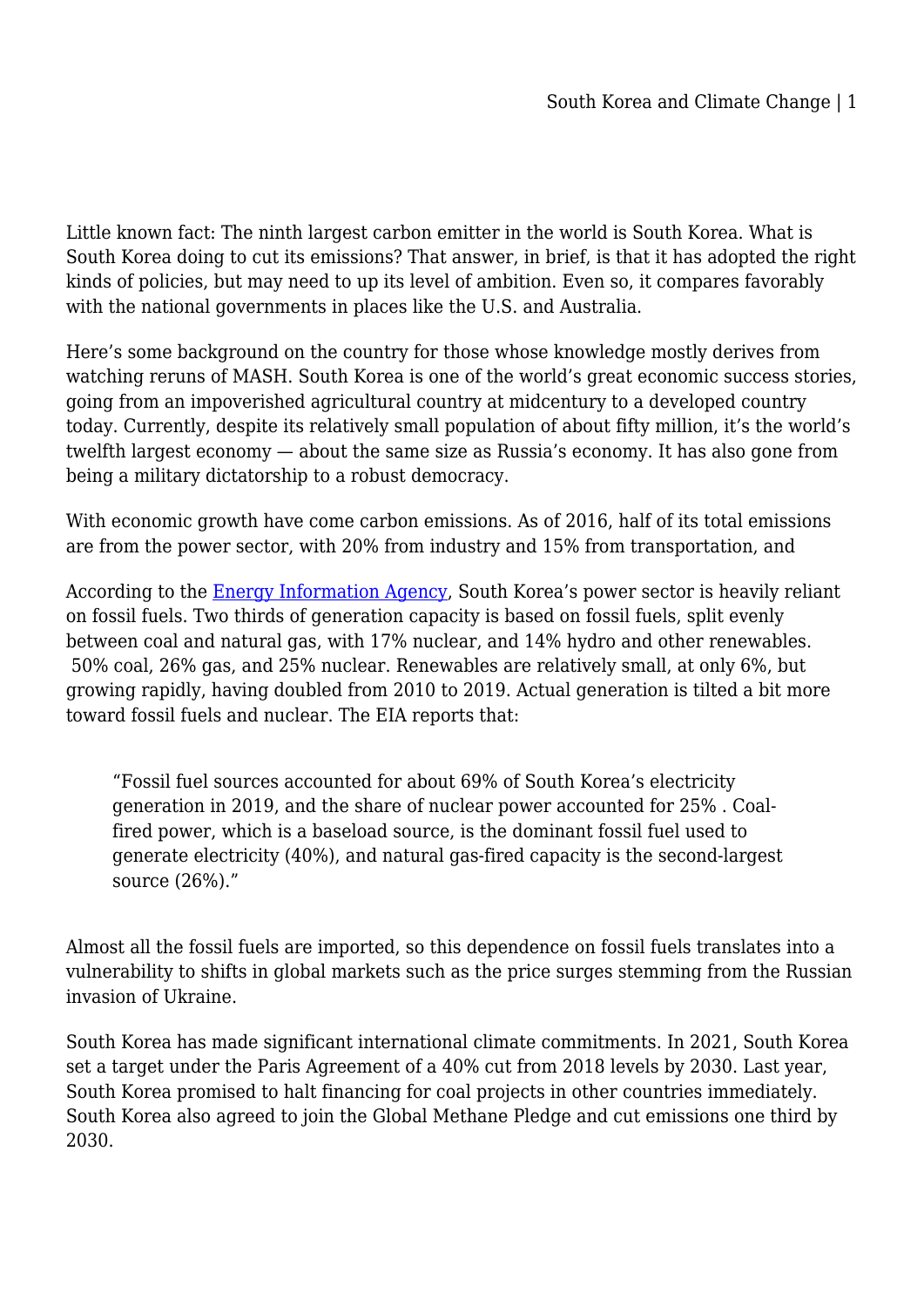Little known fact: The ninth largest carbon emitter in the world is South Korea. What is South Korea doing to cut its emissions? That answer, in brief, is that it has adopted the right kinds of policies, but may need to up its level of ambition. Even so, it compares favorably with the national governments in places like the U.S. and Australia.

Here's some background on the country for those whose knowledge mostly derives from watching reruns of MASH. South Korea is one of the world's great economic success stories, going from an impoverished agricultural country at midcentury to a developed country today. Currently, despite its relatively small population of about fifty million, it's the world's twelfth largest economy — about the same size as Russia's economy. It has also gone from being a military dictatorship to a robust democracy.

With economic growth have come carbon emissions. As of 2016, half of its total emissions are from the power sector, with 20% from industry and 15% from transportation, and

According to the [Energy Information Agency](https://www.eia.gov/international/analysis/country/KOR), South Korea's power sector is heavily reliant on fossil fuels. Two thirds of generation capacity is based on fossil fuels, split evenly between coal and natural gas, with 17% nuclear, and 14% hydro and other renewables. 50% coal, 26% gas, and 25% nuclear. Renewables are relatively small, at only 6%, but growing rapidly, having doubled from 2010 to 2019. Actual generation is tilted a bit more toward fossil fuels and nuclear. The EIA reports that:

"Fossil fuel sources accounted for about 69% of South Korea's electricity generation in 2019, and the share of nuclear power accounted for 25% . Coalfired power, which is a baseload source, is the dominant fossil fuel used to generate electricity (40%), and natural gas-fired capacity is the second-largest source (26%)."

Almost all the fossil fuels are imported, so this dependence on fossil fuels translates into a vulnerability to shifts in global markets such as the price surges stemming from the Russian invasion of Ukraine.

South Korea has made significant international climate commitments. In 2021, South Korea set a target under the Paris Agreement of a 40% cut from 2018 levels by 2030. Last year, South Korea promised to halt financing for coal projects in other countries immediately. South Korea also agreed to join the Global Methane Pledge and cut emissions one third by 2030.